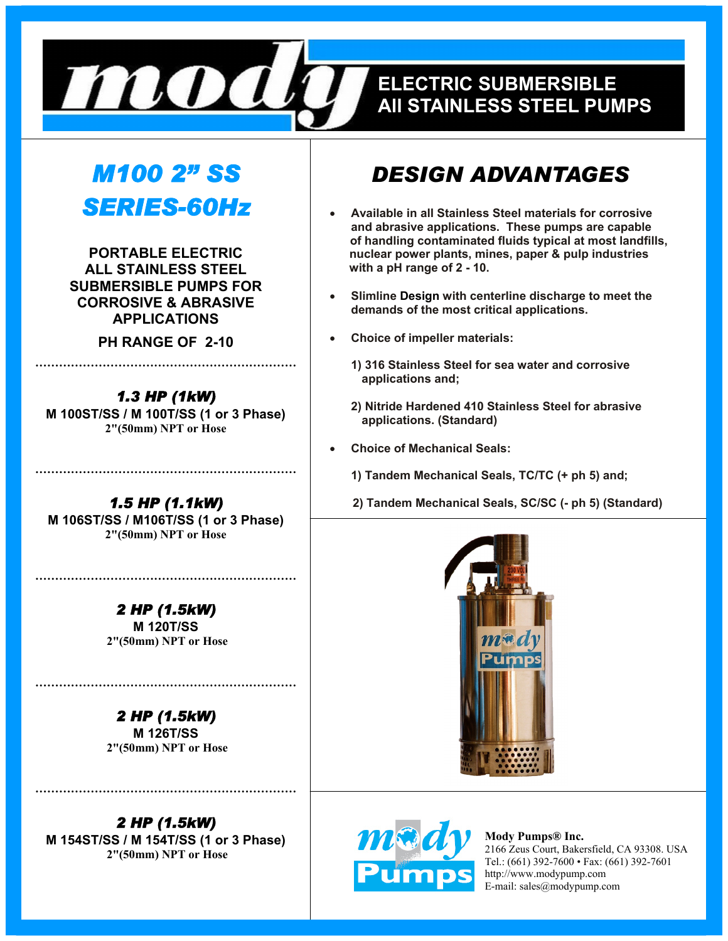

# **EELECTRIC SUBMERSIBLE ELECTRIC SUBMERSIBLE ALL STAINLESS STEEL PUMPS All STAINLESS STEEL PUMPS**

# *M100 2" SS SERIES-60Hz*

**PORTABLE ELECTRIC ALL STAINLESS STEEL SUBMERSIBLE PUMPS FOR CORROSIVE & ABRASIVE APPLICATIONS** 

**PH RANGE OF 2-10 …………………………………………………………** 

*1.3 HP (1kW)*  **M 100ST/SS / M 100T/SS (1 or 3 Phase) 2"(50mm) NPT or Hose** 

*1.5 HP (1.1kW)*  **M 106ST/SS / M106T/SS (1 or 3 Phase) 2"(50mm) NPT or Hose** 

**…………………………………………………………** 

**…………………………………………………………** 

*2 HP (1.5kW)*  **M 120T/SS 2"(50mm) NPT or Hose** 

*2 HP (1.5kW)*  **M 126T/SS 2"(50mm) NPT or Hose** 

**…………………………………………………………** 

**…………………………………………………………** 

*2 HP (1.5kW)*  **M 154ST/SS / M 154T/SS (1 or 3 Phase) 2"(50mm) NPT or Hose** 

# *DESIGN ADVANTAGES*

- **Available in all Stainless Steel materials for corrosive and abrasive applications. These pumps are capable of handling contaminated fluids typical at most landfills, nuclear power plants, mines, paper & pulp industries with a pH range of 2 - 10.**
- **Slimline Design with centerline discharge to meet the demands of the most critical applications.**
- **Choice of impeller materials:** 
	- **1) 316 Stainless Steel for sea water and corrosive applications and;**
	- **2) Nitride Hardened 410 Stainless Steel for abrasive applications. (Standard)**
- **Choice of Mechanical Seals:** 
	- **1) Tandem Mechanical Seals, TC/TC (+ ph 5) and;**

 **2) Tandem Mechanical Seals, SC/SC (- ph 5) (Standard)** 





**Mody Pumps® Inc.**  2166 Zeus Court, Bakersfield, CA 93308. USA Tel.: (661) 392-7600 • Fax: (661) 392-7601 http://www.modypump.com E-mail: sales@modypump.com